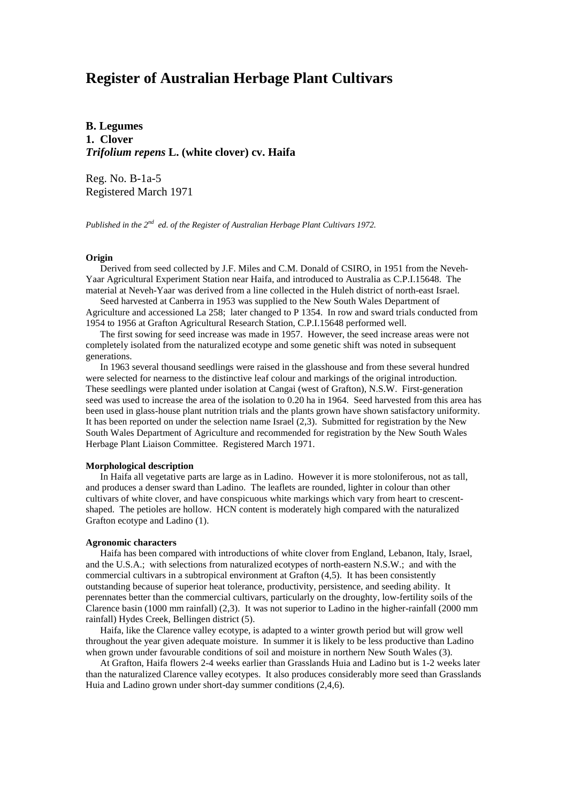# **Register of Australian Herbage Plant Cultivars**

**B. Legumes 1. Clover** *Trifolium repens* **L. (white clover) cv. Haifa**

Reg. No. B-1a-5 Registered March 1971

*Published in the 2nd ed. of the Register of Australian Herbage Plant Cultivars 1972.*

# **Origin**

 Derived from seed collected by J.F. Miles and C.M. Donald of CSIRO, in 1951 from the Neveh-Yaar Agricultural Experiment Station near Haifa, and introduced to Australia as C.P.I.15648. The material at Neveh-Yaar was derived from a line collected in the Huleh district of north-east Israel.

 Seed harvested at Canberra in 1953 was supplied to the New South Wales Department of Agriculture and accessioned La 258; later changed to P 1354. In row and sward trials conducted from 1954 to 1956 at Grafton Agricultural Research Station, C.P.I.15648 performed well.

 The first sowing for seed increase was made in 1957. However, the seed increase areas were not completely isolated from the naturalized ecotype and some genetic shift was noted in subsequent generations.

 In 1963 several thousand seedlings were raised in the glasshouse and from these several hundred were selected for nearness to the distinctive leaf colour and markings of the original introduction. These seedlings were planted under isolation at Cangai (west of Grafton), N.S.W. First-generation seed was used to increase the area of the isolation to 0.20 ha in 1964. Seed harvested from this area has been used in glass-house plant nutrition trials and the plants grown have shown satisfactory uniformity. It has been reported on under the selection name Israel (2,3). Submitted for registration by the New South Wales Department of Agriculture and recommended for registration by the New South Wales Herbage Plant Liaison Committee. Registered March 1971.

## **Morphological description**

 In Haifa all vegetative parts are large as in Ladino. However it is more stoloniferous, not as tall, and produces a denser sward than Ladino. The leaflets are rounded, lighter in colour than other cultivars of white clover, and have conspicuous white markings which vary from heart to crescentshaped. The petioles are hollow. HCN content is moderately high compared with the naturalized Grafton ecotype and Ladino (1).

#### **Agronomic characters**

 Haifa has been compared with introductions of white clover from England, Lebanon, Italy, Israel, and the U.S.A.; with selections from naturalized ecotypes of north-eastern N.S.W.; and with the commercial cultivars in a subtropical environment at Grafton (4,5). It has been consistently outstanding because of superior heat tolerance, productivity, persistence, and seeding ability. It perennates better than the commercial cultivars, particularly on the droughty, low-fertility soils of the Clarence basin (1000 mm rainfall) (2,3). It was not superior to Ladino in the higher-rainfall (2000 mm rainfall) Hydes Creek, Bellingen district (5).

 Haifa, like the Clarence valley ecotype, is adapted to a winter growth period but will grow well throughout the year given adequate moisture. In summer it is likely to be less productive than Ladino when grown under favourable conditions of soil and moisture in northern New South Wales (3).

 At Grafton, Haifa flowers 2-4 weeks earlier than Grasslands Huia and Ladino but is 1-2 weeks later than the naturalized Clarence valley ecotypes. It also produces considerably more seed than Grasslands Huia and Ladino grown under short-day summer conditions (2,4,6).